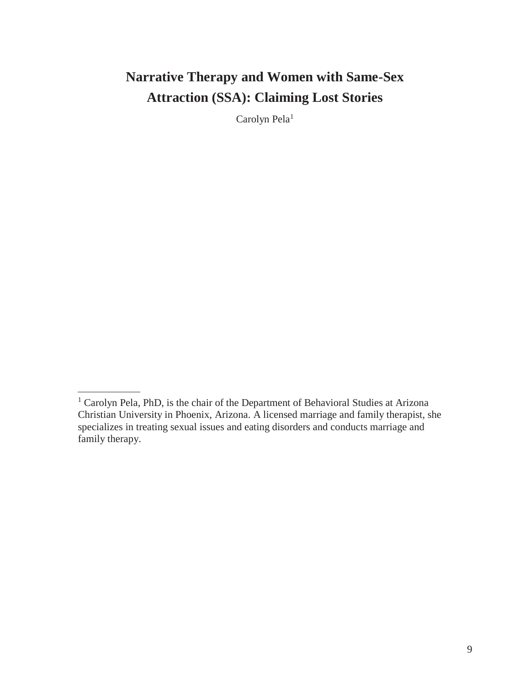# **Narrative Therapy and Women with Same-Sex Attraction (SSA): Claiming Lost Stories**

Carolyn Pela<sup>1</sup>

<sup>1</sup> Carolyn Pela, PhD, is the chair of the Department of Behavioral Studies at Arizona Christian University in Phoenix, Arizona. A licensed marriage and family therapist, she specializes in treating sexual issues and eating disorders and conducts marriage and family therapy.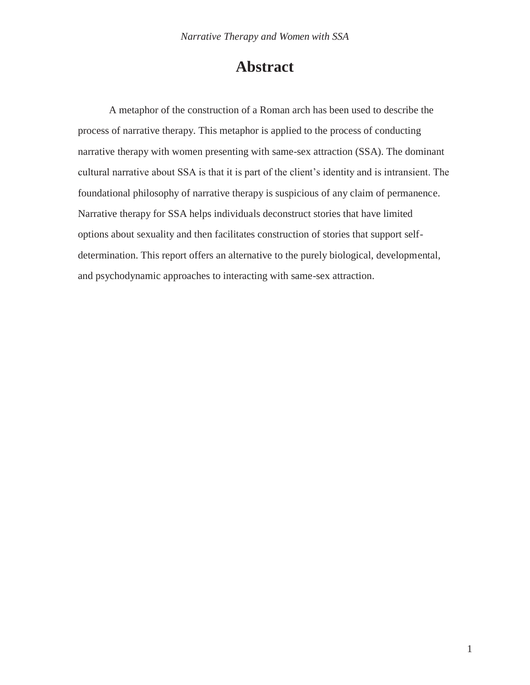# **Abstract**

A metaphor of the construction of a Roman arch has been used to describe the process of narrative therapy. This metaphor is applied to the process of conducting narrative therapy with women presenting with same-sex attraction (SSA). The dominant cultural narrative about SSA is that it is part of the client's identity and is intransient. The foundational philosophy of narrative therapy is suspicious of any claim of permanence. Narrative therapy for SSA helps individuals deconstruct stories that have limited options about sexuality and then facilitates construction of stories that support selfdetermination. This report offers an alternative to the purely biological, developmental, and psychodynamic approaches to interacting with same-sex attraction.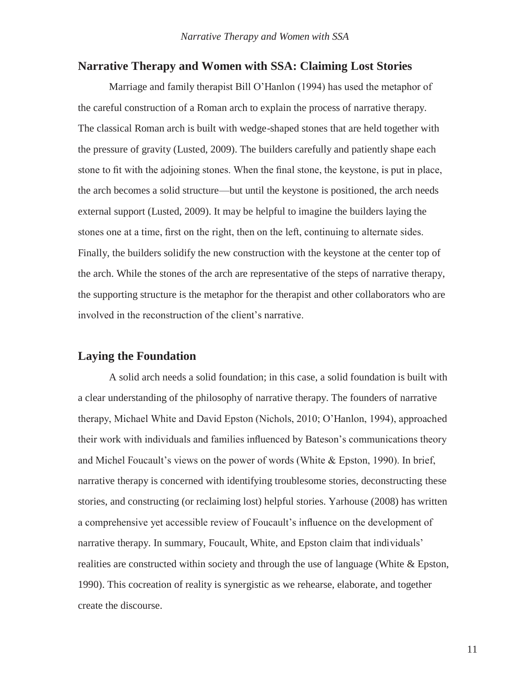#### **Narrative Therapy and Women with SSA: Claiming Lost Stories**

Marriage and family therapist Bill O'Hanlon (1994) has used the metaphor of the careful construction of a Roman arch to explain the process of narrative therapy. The classical Roman arch is built with wedge-shaped stones that are held together with the pressure of gravity (Lusted, 2009). The builders carefully and patiently shape each stone to fit with the adjoining stones. When the final stone, the keystone, is put in place, the arch becomes a solid structure—but until the keystone is positioned, the arch needs external support (Lusted, 2009). It may be helpful to imagine the builders laying the stones one at a time, first on the right, then on the left, continuing to alternate sides. Finally, the builders solidify the new construction with the keystone at the center top of the arch. While the stones of the arch are representative of the steps of narrative therapy, the supporting structure is the metaphor for the therapist and other collaborators who are involved in the reconstruction of the client's narrative.

# **Laying the Foundation**

A solid arch needs a solid foundation; in this case, a solid foundation is built with a clear understanding of the philosophy of narrative therapy. The founders of narrative therapy, Michael White and David Epston (Nichols, 2010; O'Hanlon, 1994), approached their work with individuals and families influenced by Bateson's communications theory and Michel Foucault's views on the power of words (White & Epston, 1990). In brief, narrative therapy is concerned with identifying troublesome stories, deconstructing these stories, and constructing (or reclaiming lost) helpful stories. Yarhouse (2008) has written a comprehensive yet accessible review of Foucault's influence on the development of narrative therapy. In summary, Foucault, White, and Epston claim that individuals' realities are constructed within society and through the use of language (White & Epston, 1990). This cocreation of reality is synergistic as we rehearse, elaborate, and together create the discourse.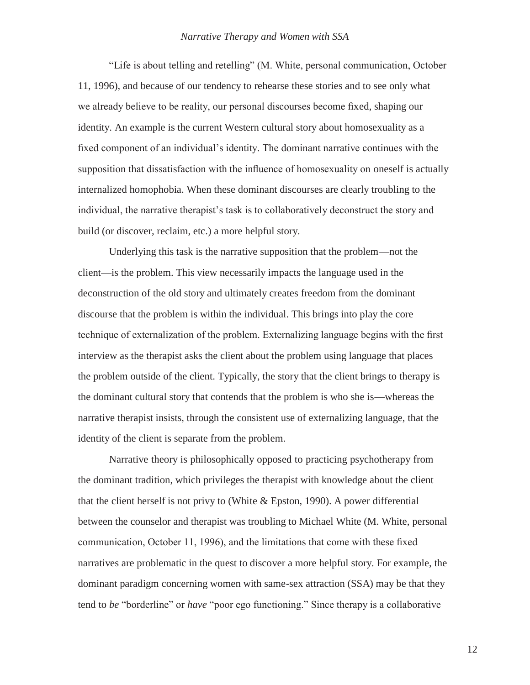"Life is about telling and retelling" (M. White, personal communication, October 11, 1996), and because of our tendency to rehearse these stories and to see only what we already believe to be reality, our personal discourses become fixed, shaping our identity. An example is the current Western cultural story about homosexuality as a fixed component of an individual's identity. The dominant narrative continues with the supposition that dissatisfaction with the influence of homosexuality on oneself is actually internalized homophobia. When these dominant discourses are clearly troubling to the individual, the narrative therapist's task is to collaboratively deconstruct the story and build (or discover, reclaim, etc.) a more helpful story.

Underlying this task is the narrative supposition that the problem—not the client—is the problem. This view necessarily impacts the language used in the deconstruction of the old story and ultimately creates freedom from the dominant discourse that the problem is within the individual. This brings into play the core technique of externalization of the problem. Externalizing language begins with the first interview as the therapist asks the client about the problem using language that places the problem outside of the client. Typically, the story that the client brings to therapy is the dominant cultural story that contends that the problem is who she is—whereas the narrative therapist insists, through the consistent use of externalizing language, that the identity of the client is separate from the problem.

Narrative theory is philosophically opposed to practicing psychotherapy from the dominant tradition, which privileges the therapist with knowledge about the client that the client herself is not privy to (White & Epston, 1990). A power differential between the counselor and therapist was troubling to Michael White (M. White, personal communication, October 11, 1996), and the limitations that come with these fixed narratives are problematic in the quest to discover a more helpful story. For example, the dominant paradigm concerning women with same-sex attraction (SSA) may be that they tend to *be* "borderline" or *have* "poor ego functioning." Since therapy is a collaborative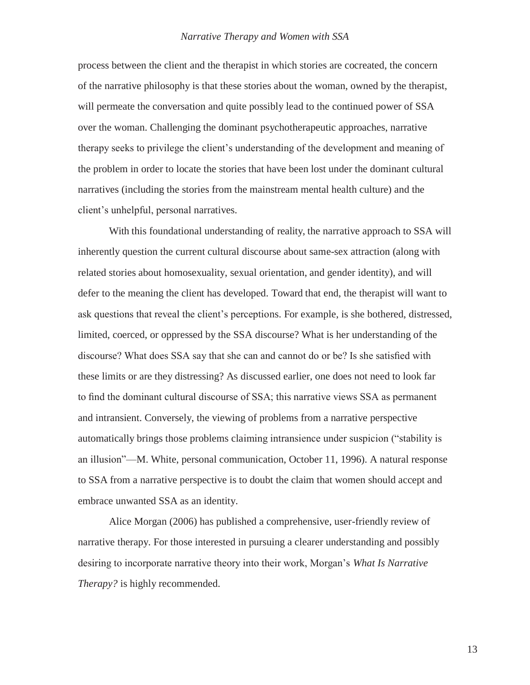process between the client and the therapist in which stories are cocreated, the concern of the narrative philosophy is that these stories about the woman, owned by the therapist, will permeate the conversation and quite possibly lead to the continued power of SSA over the woman. Challenging the dominant psychotherapeutic approaches, narrative therapy seeks to privilege the client's understanding of the development and meaning of the problem in order to locate the stories that have been lost under the dominant cultural narratives (including the stories from the mainstream mental health culture) and the client's unhelpful, personal narratives.

With this foundational understanding of reality, the narrative approach to SSA will inherently question the current cultural discourse about same-sex attraction (along with related stories about homosexuality, sexual orientation, and gender identity), and will defer to the meaning the client has developed. Toward that end, the therapist will want to ask questions that reveal the client's perceptions. For example, is she bothered, distressed, limited, coerced, or oppressed by the SSA discourse? What is her understanding of the discourse? What does SSA say that she can and cannot do or be? Is she satisfied with these limits or are they distressing? As discussed earlier, one does not need to look far to find the dominant cultural discourse of SSA; this narrative views SSA as permanent and intransient. Conversely, the viewing of problems from a narrative perspective automatically brings those problems claiming intransience under suspicion ("stability is an illusion"—M. White, personal communication, October 11, 1996). A natural response to SSA from a narrative perspective is to doubt the claim that women should accept and embrace unwanted SSA as an identity.

Alice Morgan (2006) has published a comprehensive, user-friendly review of narrative therapy. For those interested in pursuing a clearer understanding and possibly desiring to incorporate narrative theory into their work, Morgan's *What Is Narrative Therapy?* is highly recommended.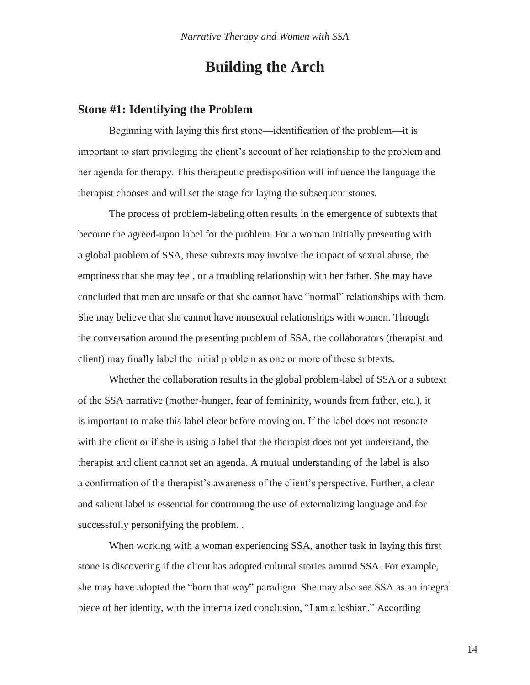# **Building the Arch**

# **Stone #1: Identifying the Problem**

Beginning with laying this first stone—identification of the problem—it is important to start privileging the client's account of her relationship to the problem and her agenda for therapy. This therapeutic predisposition will influence the language the therapist chooses and will set the stage for laying the subsequent stones.

The process of problem-labeling often results in the emergence of subtexts that become the agreed-upon label for the problem. For a woman initially presenting with a global problem of SSA, these subtexts may involve the impact of sexual abuse, the emptiness that she may feel, or a troubling relationship with her father. She may have concluded that men are unsafe or that she cannot have "normal" relationships with them. She may believe that she cannot have nonsexual relationships with women. Through the conversation around the presenting problem of SSA, the collaborators (therapist and client) may finally label the initial problem as one or more of these subtexts.

Whether the collaboration results in the global problem-label of SSA or a subtext of the SSA narrative (mother-hunger, fear of femininity, wounds from father, etc.), it is important to make this label clear before moving on. If the label does not resonate with the client or if she is using a label that the therapist does not yet understand, the therapist and client cannot set an agenda. A mutual understanding of the label is also a confirmation of the therapist's awareness of the client's perspective. Further, a clear and salient label is essential for continuing the use of externalizing language and for successfully personifying the problem. .

When working with a woman experiencing SSA, another task in laying this first stone is discovering if the client has adopted cultural stories around SSA. For example, she may have adopted the "born that way" paradigm. She may also see SSA as an integral piece of her identity, with the internalized conclusion, "I am a lesbian." According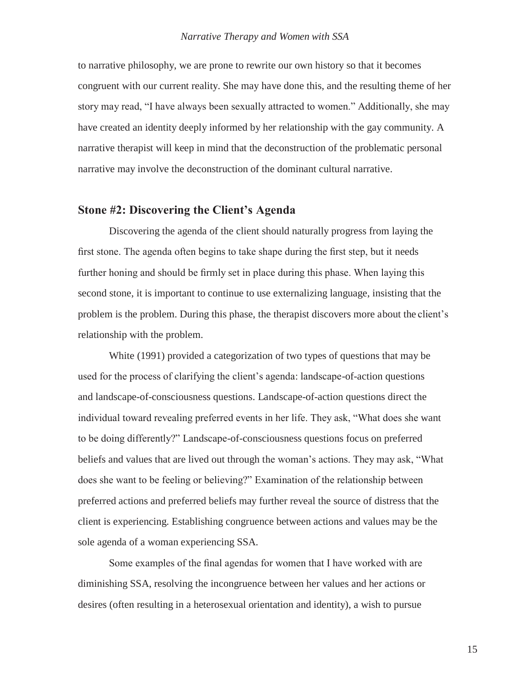to narrative philosophy, we are prone to rewrite our own history so that it becomes congruent with our current reality. She may have done this, and the resulting theme of her story may read, "I have always been sexually attracted to women." Additionally, she may have created an identity deeply informed by her relationship with the gay community. A narrative therapist will keep in mind that the deconstruction of the problematic personal narrative may involve the deconstruction of the dominant cultural narrative.

# **Stone #2: Discovering the Client's Agenda**

Discovering the agenda of the client should naturally progress from laying the first stone. The agenda often begins to take shape during the first step, but it needs further honing and should be firmly set in place during this phase. When laying this second stone, it is important to continue to use externalizing language, insisting that the problem is the problem. During this phase, the therapist discovers more about the client's relationship with the problem.

White (1991) provided a categorization of two types of questions that may be used for the process of clarifying the client's agenda: landscape-of-action questions and landscape-of-consciousness questions. Landscape-of-action questions direct the individual toward revealing preferred events in her life. They ask, "What does she want to be doing differently?" Landscape-of-consciousness questions focus on preferred beliefs and values that are lived out through the woman's actions. They may ask, "What does she want to be feeling or believing?" Examination of the relationship between preferred actions and preferred beliefs may further reveal the source of distress that the client is experiencing. Establishing congruence between actions and values may be the sole agenda of a woman experiencing SSA.

Some examples of the final agendas for women that I have worked with are diminishing SSA, resolving the incongruence between her values and her actions or desires (often resulting in a heterosexual orientation and identity), a wish to pursue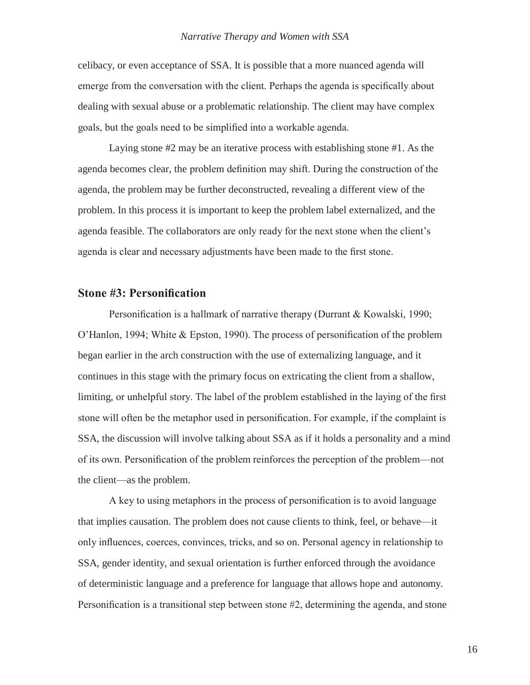celibacy, or even acceptance of SSA. It is possible that a more nuanced agenda will emerge from the conversation with the client. Perhaps the agenda is specifically about dealing with sexual abuse or a problematic relationship. The client may have complex goals, but the goals need to be simplified into a workable agenda.

Laying stone #2 may be an iterative process with establishing stone #1. As the agenda becomes clear, the problem definition may shift. During the construction of the agenda, the problem may be further deconstructed, revealing a different view of the problem. In this process it is important to keep the problem label externalized, and the agenda feasible. The collaborators are only ready for the next stone when the client's agenda is clear and necessary adjustments have been made to the first stone.

### **Stone #3: Personification**

Personification is a hallmark of narrative therapy (Durrant & Kowalski, 1990; O'Hanlon, 1994; White & Epston, 1990). The process of personification of the problem began earlier in the arch construction with the use of externalizing language, and it continues in this stage with the primary focus on extricating the client from a shallow, limiting, or unhelpful story. The label of the problem established in the laying of the first stone will often be the metaphor used in personification. For example, if the complaint is SSA, the discussion will involve talking about SSA as if it holds a personality and a mind of its own. Personification of the problem reinforces the perception of the problem—not the client—as the problem.

A key to using metaphors in the process of personification is to avoid language that implies causation. The problem does not cause clients to think, feel, or behave—it only influences, coerces, convinces, tricks, and so on. Personal agency in relationship to SSA, gender identity, and sexual orientation is further enforced through the avoidance of deterministic language and a preference for language that allows hope and autonomy. Personification is a transitional step between stone #2, determining the agenda, and stone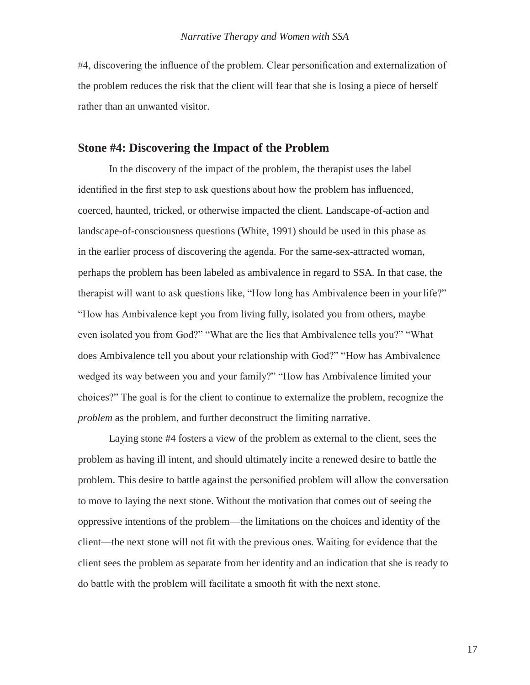#4, discovering the influence of the problem. Clear personification and externalization of the problem reduces the risk that the client will fear that she is losing a piece of herself rather than an unwanted visitor.

#### **Stone #4: Discovering the Impact of the Problem**

In the discovery of the impact of the problem, the therapist uses the label identified in the first step to ask questions about how the problem has influenced, coerced, haunted, tricked, or otherwise impacted the client. Landscape-of-action and landscape-of-consciousness questions (White, 1991) should be used in this phase as in the earlier process of discovering the agenda. For the same-sex-attracted woman, perhaps the problem has been labeled as ambivalence in regard to SSA. In that case, the therapist will want to ask questions like, "How long has Ambivalence been in yourlife?" "How has Ambivalence kept you from living fully, isolated you from others, maybe even isolated you from God?" "What are the lies that Ambivalence tells you?" "What does Ambivalence tell you about your relationship with God?" "How has Ambivalence wedged its way between you and your family?" "How has Ambivalence limited your choices?" The goal is for the client to continue to externalize the problem, recognize the *problem* as the problem, and further deconstruct the limiting narrative.

Laying stone #4 fosters a view of the problem as external to the client, sees the problem as having ill intent, and should ultimately incite a renewed desire to battle the problem. This desire to battle against the personified problem will allow the conversation to move to laying the next stone. Without the motivation that comes out of seeing the oppressive intentions of the problem—the limitations on the choices and identity of the client—the next stone will not fit with the previous ones. Waiting for evidence that the client sees the problem as separate from her identity and an indication that she is ready to do battle with the problem will facilitate a smooth fit with the next stone.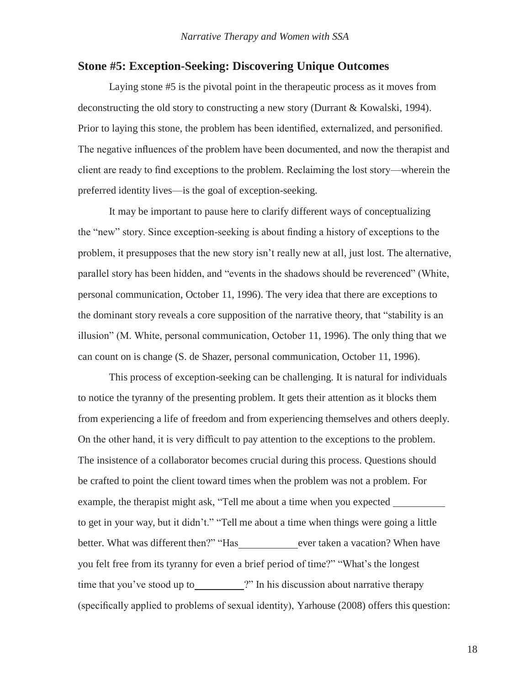# **Stone #5: Exception-Seeking: Discovering Unique Outcomes**

Laying stone #5 is the pivotal point in the therapeutic process as it moves from deconstructing the old story to constructing a new story (Durrant & Kowalski, 1994). Prior to laying this stone, the problem has been identified, externalized, and personified. The negative influences of the problem have been documented, and now the therapist and client are ready to find exceptions to the problem. Reclaiming the lost story—wherein the preferred identity lives—is the goal of exception-seeking.

It may be important to pause here to clarify different ways of conceptualizing the "new" story. Since exception-seeking is about finding a history of exceptions to the problem, it presupposes that the new story isn't really new at all, just lost. The alternative, parallel story has been hidden, and "events in the shadows should be reverenced" (White, personal communication, October 11, 1996). The very idea that there are exceptions to the dominant story reveals a core supposition of the narrative theory, that "stability is an illusion" (M. White, personal communication, October 11, 1996). The only thing that we can count on is change (S. de Shazer, personal communication, October 11, 1996).

This process of exception-seeking can be challenging. It is natural for individuals to notice the tyranny of the presenting problem. It gets their attention as it blocks them from experiencing a life of freedom and from experiencing themselves and others deeply. On the other hand, it is very difficult to pay attention to the exceptions to the problem. The insistence of a collaborator becomes crucial during this process. Questions should be crafted to point the client toward times when the problem was not a problem. For example, the therapist might ask, "Tell me about a time when you expected to get in your way, but it didn't." "Tell me about a time when things were going a little better. What was different then?" "Has ever taken a vacation? When have you felt free from its tyranny for even a brief period of time?" "What's the longest time that you've stood up to **?"** In his discussion about narrative therapy (specifically applied to problems of sexual identity), Yarhouse (2008) offers this question: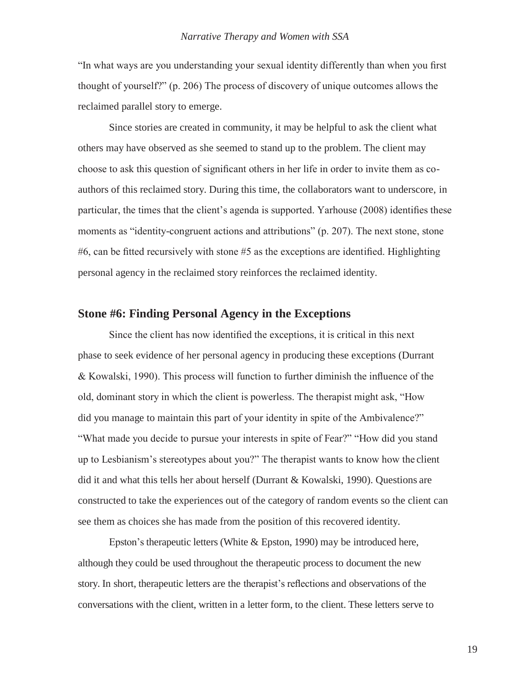"In what ways are you understanding your sexual identity differently than when you first thought of yourself?" (p. 206) The process of discovery of unique outcomes allows the reclaimed parallel story to emerge.

Since stories are created in community, it may be helpful to ask the client what others may have observed as she seemed to stand up to the problem. The client may choose to ask this question of significant others in her life in order to invite them as coauthors of this reclaimed story. During this time, the collaborators want to underscore, in particular, the times that the client's agenda is supported. Yarhouse (2008) identifies these moments as "identity-congruent actions and attributions" (p. 207). The next stone, stone #6, can be fitted recursively with stone #5 as the exceptions are identified. Highlighting personal agency in the reclaimed story reinforces the reclaimed identity.

# **Stone #6: Finding Personal Agency in the Exceptions**

Since the client has now identified the exceptions, it is critical in this next phase to seek evidence of her personal agency in producing these exceptions (Durrant & Kowalski, 1990). This process will function to further diminish the influence of the old, dominant story in which the client is powerless. The therapist might ask, "How did you manage to maintain this part of your identity in spite of the Ambivalence?" "What made you decide to pursue your interests in spite of Fear?" "How did you stand up to Lesbianism's stereotypes about you?" The therapist wants to know how the client did it and what this tells her about herself (Durrant & Kowalski, 1990). Questions are constructed to take the experiences out of the category of random events so the client can see them as choices she has made from the position of this recovered identity.

Epston's therapeutic letters (White & Epston, 1990) may be introduced here, although they could be used throughout the therapeutic process to document the new story. In short, therapeutic letters are the therapist's reflections and observations of the conversations with the client, written in a letter form, to the client. These letters serve to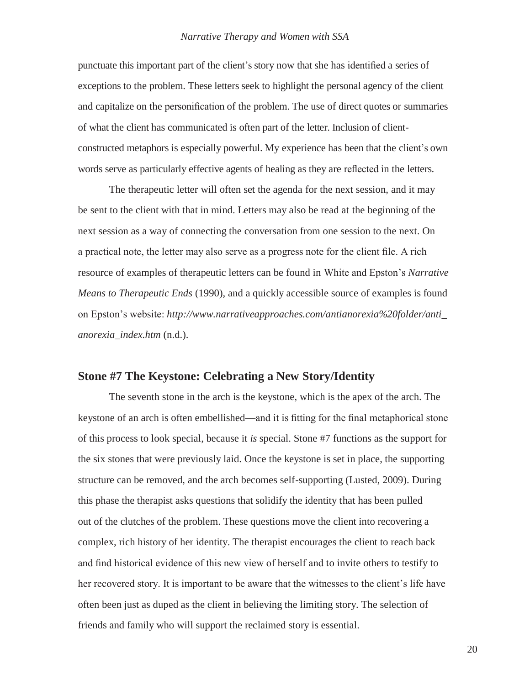punctuate this important part of the client's story now that she has identified a series of exceptions to the problem. These letters seek to highlight the personal agency of the client and capitalize on the personification of the problem. The use of direct quotes or summaries of what the client has communicated is often part of the letter. Inclusion of clientconstructed metaphors is especially powerful. My experience has been that the client's own words serve as particularly effective agents of healing as they are reflected in the letters.

The therapeutic letter will often set the agenda for the next session, and it may be sent to the client with that in mind. Letters may also be read at the beginning of the next session as a way of connecting the conversation from one session to the next. On a practical note, the letter may also serve as a progress note for the client file. A rich resource of examples of therapeutic letters can be found in White and Epston's *Narrative Means to Therapeutic Ends* (1990), and a quickly accessible source of examples is found on Epston's website: *[http://www.narrativeapproaches.com/antianorexia%20folder/anti\\_](http://www.narrativeapproaches.com/antianorexia%20folder/anti_) anorexia\_index.htm* (n.d.).

### **Stone #7 The Keystone: Celebrating a New Story/Identity**

The seventh stone in the arch is the keystone, which is the apex of the arch. The keystone of an arch is often embellished—and it is fitting for the final metaphorical stone of this process to look special, because it *is* special. Stone #7 functions as the support for the six stones that were previously laid. Once the keystone is set in place, the supporting structure can be removed, and the arch becomes self-supporting (Lusted, 2009). During this phase the therapist asks questions that solidify the identity that has been pulled out of the clutches of the problem. These questions move the client into recovering a complex, rich history of her identity. The therapist encourages the client to reach back and find historical evidence of this new view of herself and to invite others to testify to her recovered story. It is important to be aware that the witnesses to the client's life have often been just as duped as the client in believing the limiting story. The selection of friends and family who will support the reclaimed story is essential.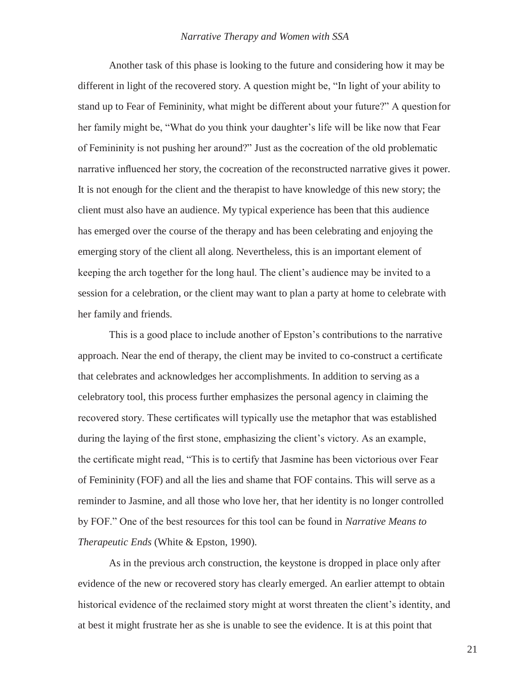Another task of this phase is looking to the future and considering how it may be different in light of the recovered story. A question might be, "In light of your ability to stand up to Fear of Femininity, what might be different about your future?" A questionfor her family might be, "What do you think your daughter's life will be like now that Fear of Femininity is not pushing her around?" Just as the cocreation of the old problematic narrative influenced her story, the cocreation of the reconstructed narrative gives it power. It is not enough for the client and the therapist to have knowledge of this new story; the client must also have an audience. My typical experience has been that this audience has emerged over the course of the therapy and has been celebrating and enjoying the emerging story of the client all along. Nevertheless, this is an important element of keeping the arch together for the long haul. The client's audience may be invited to a session for a celebration, or the client may want to plan a party at home to celebrate with her family and friends.

This is a good place to include another of Epston's contributions to the narrative approach. Near the end of therapy, the client may be invited to co-construct a certificate that celebrates and acknowledges her accomplishments. In addition to serving as a celebratory tool, this process further emphasizes the personal agency in claiming the recovered story. These certificates will typically use the metaphor that was established during the laying of the first stone, emphasizing the client's victory. As an example, the certificate might read, "This is to certify that Jasmine has been victorious over Fear of Femininity (FOF) and all the lies and shame that FOF contains. This will serve as a reminder to Jasmine, and all those who love her, that her identity is no longer controlled by FOF." One of the best resources for this tool can be found in *Narrative Means to Therapeutic Ends* (White & Epston, 1990).

As in the previous arch construction, the keystone is dropped in place only after evidence of the new or recovered story has clearly emerged. An earlier attempt to obtain historical evidence of the reclaimed story might at worst threaten the client's identity, and at best it might frustrate her as she is unable to see the evidence. It is at this point that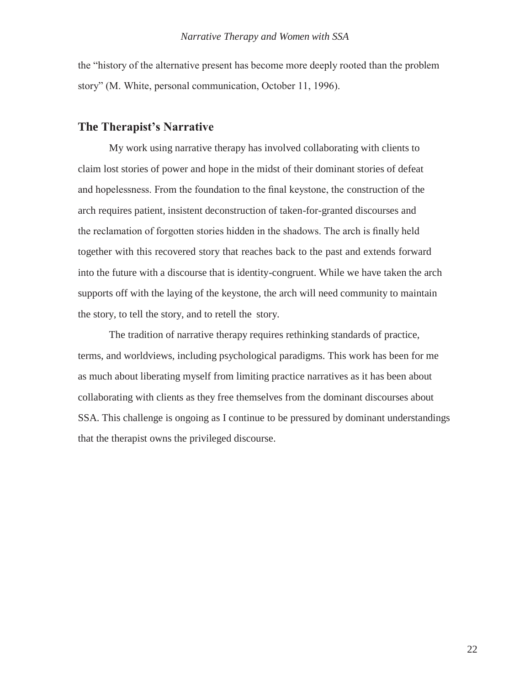the "history of the alternative present has become more deeply rooted than the problem story" (M. White, personal communication, October 11, 1996).

# **The Therapist's Narrative**

My work using narrative therapy has involved collaborating with clients to claim lost stories of power and hope in the midst of their dominant stories of defeat and hopelessness. From the foundation to the final keystone, the construction of the arch requires patient, insistent deconstruction of taken-for-granted discourses and the reclamation of forgotten stories hidden in the shadows. The arch is finally held together with this recovered story that reaches back to the past and extends forward into the future with a discourse that is identity-congruent. While we have taken the arch supports off with the laying of the keystone, the arch will need community to maintain the story, to tell the story, and to retell the story.

The tradition of narrative therapy requires rethinking standards of practice, terms, and worldviews, including psychological paradigms. This work has been for me as much about liberating myself from limiting practice narratives as it has been about collaborating with clients as they free themselves from the dominant discourses about SSA. This challenge is ongoing as I continue to be pressured by dominant understandings that the therapist owns the privileged discourse.